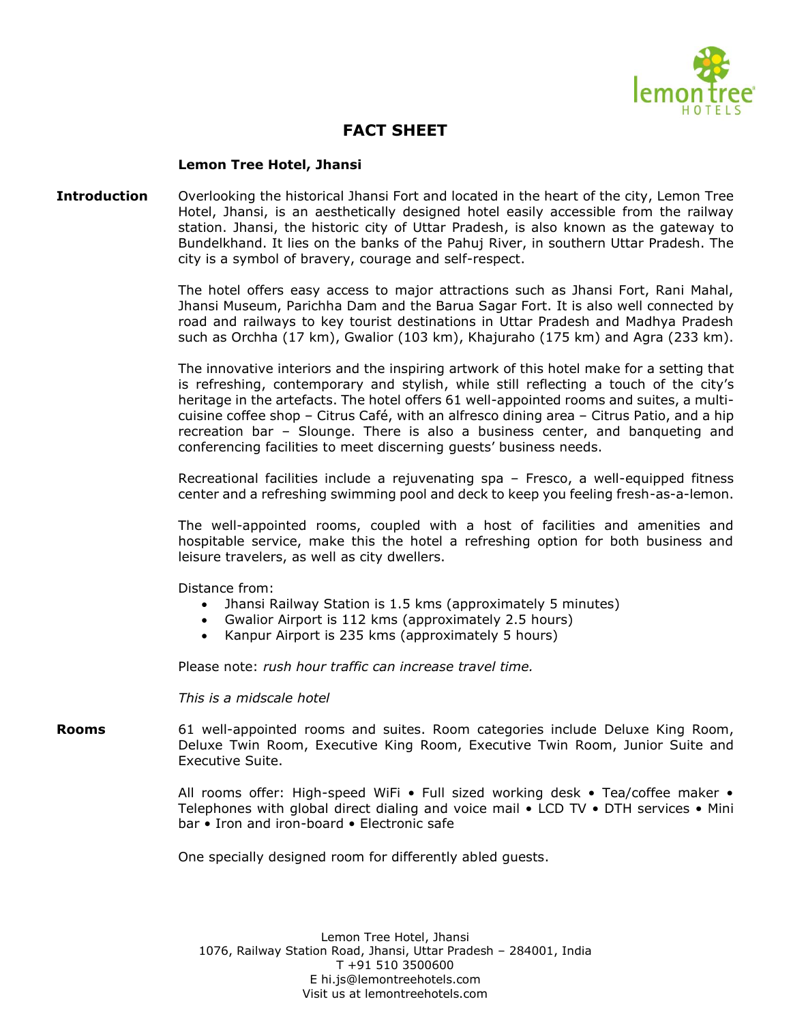

## **FACT SHEET**

## **Lemon Tree Hotel, Jhansi**

**Introduction** Overlooking the historical Jhansi Fort and located in the heart of the city, Lemon Tree Hotel, Jhansi, is an aesthetically designed hotel easily accessible from the railway station. Jhansi, the historic city of Uttar Pradesh, is also known as the gateway to Bundelkhand. It lies on the banks of the Pahuj River, in southern Uttar Pradesh. The city is a symbol of bravery, courage and self-respect.

> The hotel offers easy access to major attractions such as Jhansi Fort, Rani Mahal, Jhansi Museum, Parichha Dam and the Barua Sagar Fort. It is also well connected by road and railways to key tourist destinations in Uttar Pradesh and Madhya Pradesh such as Orchha (17 km), Gwalior (103 km), Khajuraho (175 km) and Agra (233 km).

> The innovative interiors and the inspiring artwork of this hotel make for a setting that is refreshing, contemporary and stylish, while still reflecting a touch of the city's heritage in the artefacts. The hotel offers 61 well-appointed rooms and suites, a multicuisine coffee shop – Citrus Café, with an alfresco dining area – Citrus Patio, and a hip recreation bar – Slounge. There is also a business center, and banqueting and conferencing facilities to meet discerning guests' business needs.

> Recreational facilities include a rejuvenating spa – Fresco, a well-equipped fitness center and a refreshing swimming pool and deck to keep you feeling fresh-as-a-lemon.

> The well-appointed rooms, coupled with a host of facilities and amenities and hospitable service, make this the hotel a refreshing option for both business and leisure travelers, as well as city dwellers.

Distance from:

- Jhansi Railway Station is 1.5 kms (approximately 5 minutes)
- Gwalior Airport is 112 kms (approximately 2.5 hours)
- Kanpur Airport is 235 kms (approximately 5 hours)

Please note: *rush hour traffic can increase travel time.*

*This is a midscale hotel*

**Rooms** 61 well-appointed rooms and suites. Room categories include Deluxe King Room, Deluxe Twin Room, Executive King Room, Executive Twin Room, Junior Suite and Executive Suite.

> All rooms offer: High-speed WiFi • Full sized working desk • Tea/coffee maker • Telephones with global direct dialing and voice mail • LCD TV • DTH services • Mini bar • Iron and iron-board • Electronic safe

One specially designed room for differently abled guests.

Lemon Tree Hotel, Jhansi 1076, Railway Station Road, Jhansi, Uttar Pradesh – 284001, India T +91 510 3500600 E hi.js@lemontreehotels.com Visit us at lemontreehotels.com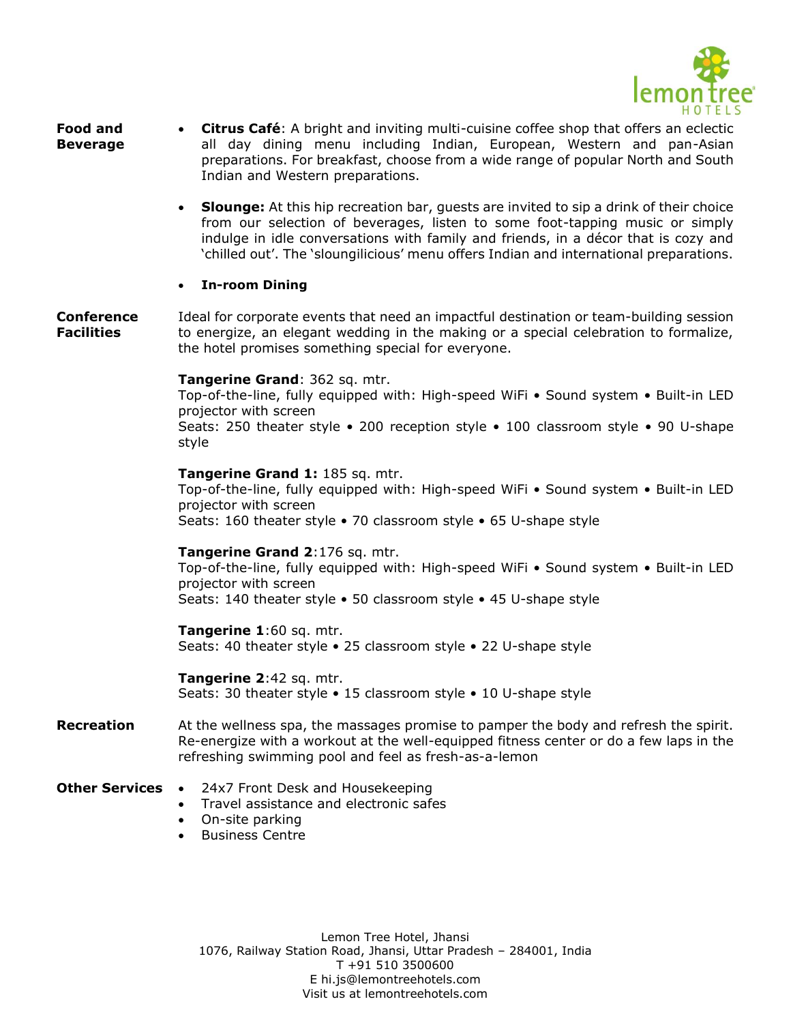

- **Food and Beverage** • **Citrus Café**: A bright and inviting multi-cuisine coffee shop that offers an eclectic all day dining menu including Indian, European, Western and pan-Asian preparations. For breakfast, choose from a wide range of popular North and South Indian and Western preparations.
	- **Slounge:** At this hip recreation bar, guests are invited to sip a drink of their choice from our selection of beverages, listen to some foot-tapping music or simply indulge in idle conversations with family and friends, in a décor that is cozy and 'chilled out'. The 'sloungilicious' menu offers Indian and international preparations.
	- **In-room Dining**

**Conference Facilities** Ideal for corporate events that need an impactful destination or team-building session to energize, an elegant wedding in the making or a special celebration to formalize, the hotel promises something special for everyone.

**Tangerine Grand**: 362 sq. mtr.

Top-of-the-line, fully equipped with: High-speed WiFi • Sound system • Built-in LED projector with screen Seats: 250 theater style • 200 reception style • 100 classroom style • 90 U-shape style

**Tangerine Grand 1:** 185 sq. mtr. Top-of-the-line, fully equipped with: High-speed WiFi • Sound system • Built-in LED projector with screen Seats: 160 theater style • 70 classroom style • 65 U-shape style

## **Tangerine Grand 2**:176 sq. mtr.

Top-of-the-line, fully equipped with: High-speed WiFi • Sound system • Built-in LED projector with screen Seats: 140 theater style • 50 classroom style • 45 U-shape style

**Tangerine 1**:60 sq. mtr. Seats: 40 theater style • 25 classroom style • 22 U-shape style

**Tangerine 2**:42 sq. mtr. Seats: 30 theater style • 15 classroom style • 10 U-shape style

**Recreation** At the wellness spa, the massages promise to pamper the body and refresh the spirit. Re-energize with a workout at the well-equipped fitness center or do a few laps in the refreshing swimming pool and feel as fresh-as-a-lemon

- **Other Services •** 24x7 Front Desk and Housekeeping
	- Travel assistance and electronic safes
	- On-site parking
	- Business Centre

Lemon Tree Hotel, Jhansi 1076, Railway Station Road, Jhansi, Uttar Pradesh – 284001, India T +91 510 3500600 E hi.js@lemontreehotels.com Visit us at lemontreehotels.com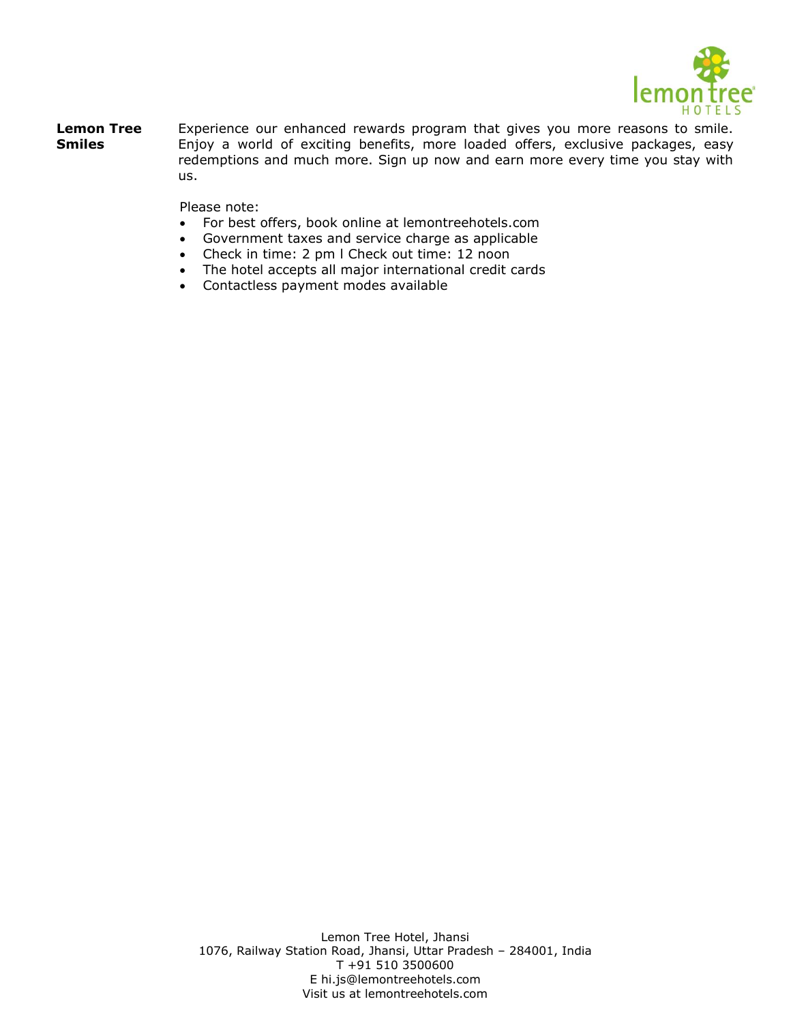

**Lemon Tree Smiles** Experience our enhanced rewards program that gives you more reasons to smile. Enjoy a world of exciting benefits, more loaded offers, exclusive packages, easy redemptions and much more. Sign up now and earn more every time you stay with us.

Please note:

- For best offers, book online at lemontreehotels.com
- Government taxes and service charge as applicable
- Check in time: 2 pm l Check out time: 12 noon
- The hotel accepts all major international credit cards
- Contactless payment modes available

Lemon Tree Hotel, Jhansi 1076, Railway Station Road, Jhansi, Uttar Pradesh – 284001, India T +91 510 3500600 E hi.js@lemontreehotels.com Visit us at lemontreehotels.com